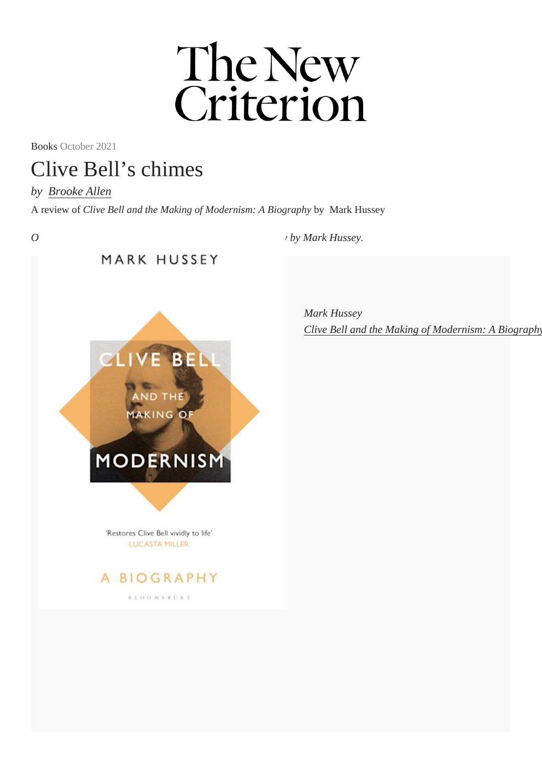Books October 2021

## Clive Bell's chimes

by [Brooke Allen](https://newcriterion.com//author?author_id=1) A review of Clive Bell and the Making of Modernism: A Biography Mark Hussey

On Clive Bell and the Making of Modernism: A Biography Mark Hussey.

BOOKS IN THIS ARTICLE

Mark Hussey [Clive Bell and the Making of Modernism: A Biogra](https://www.bloomsbury.com/us/clive-bell-and-the-making-of-modernism-9781408894439/)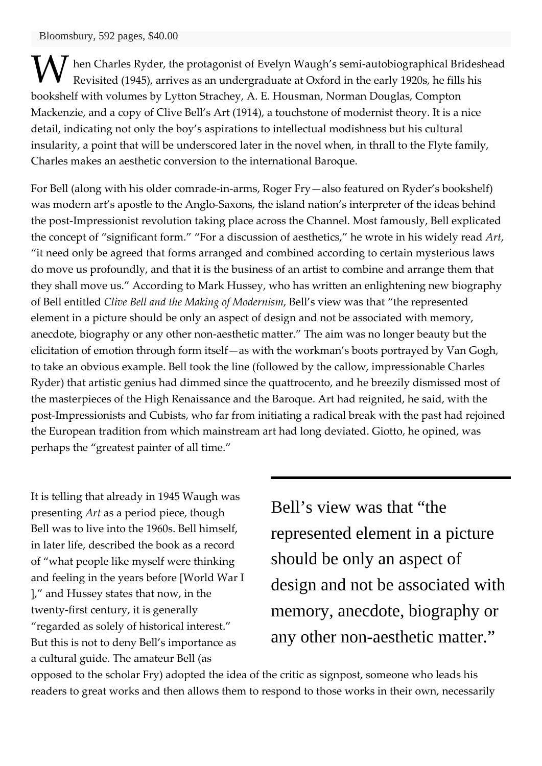**M** hen Charles Ryder, the protagonist of Evelyn Waugh's semi-autobiographical Brideshead<br>Revisited (1945), arrives as an undergraduate at Oxford in the early 1920s, he fills his Revisited (1945), arrives as an undergraduate at Oxford in the early 1920s, he fills his bookshelf with volumes by Lytton Strachey, A. E. Housman, Norman Douglas, Compton Mackenzie, and a copy of Clive Bell's Art (1914), a touchstone of modernist theory. It is a nice detail, indicating not only the boy's aspirations to intellectual modishness but his cultural insularity, a point that will be underscored later in the novel when, in thrall to the Flyte family, Charles makes an aesthetic conversion to the international Baroque.

For Bell (along with his older comrade-in-arms, Roger Fry—also featured on Ryder's bookshelf) was modern art's apostle to the Anglo-Saxons, the island nation's interpreter of the ideas behind the post-Impressionist revolution taking place across the Channel. Most famously, Bell explicated the concept of "significant form." "For a discussion of aesthetics," he wrote in his widely read *Art*, "it need only be agreed that forms arranged and combined according to certain mysterious laws do move us profoundly, and that it is the business of an artist to combine and arrange them that they shall move us." According to Mark Hussey, who has written an enlightening new biography of Bell entitled *Clive Bell and the Making of Modernism*, Bell's view was that "the represented element in a picture should be only an aspect of design and not be associated with memory, anecdote, biography or any other non-aesthetic matter." The aim was no longer beauty but the elicitation of emotion through form itself—as with the workman's boots portrayed by Van Gogh, to take an obvious example. Bell took the line (followed by the callow, impressionable Charles Ryder) that artistic genius had dimmed since the quattrocento, and he breezily dismissed most of the masterpieces of the High Renaissance and the Baroque. Art had reignited, he said, with the post-Impressionists and Cubists, who far from initiating a radical break with the past had rejoined the European tradition from which mainstream art had long deviated. Giotto, he opined, was perhaps the "greatest painter of all time."

It is telling that already in 1945 Waugh was presenting *Art* as a period piece, though Bell was to live into the 1960s. Bell himself, in later life, described the book as a record of "what people like myself were thinking and feeling in the years before [World War I ]," and Hussey states that now, in the twenty-first century, it is generally "regarded as solely of historical interest." But this is not to deny Bell's importance as a cultural guide. The amateur Bell (as

Bell's view was that "the represented element in a picture should be only an aspect of design and not be associated with memory, anecdote, biography or any other non-aesthetic matter."

opposed to the scholar Fry) adopted the idea of the critic as signpost, someone who leads his readers to great works and then allows them to respond to those works in their own, necessarily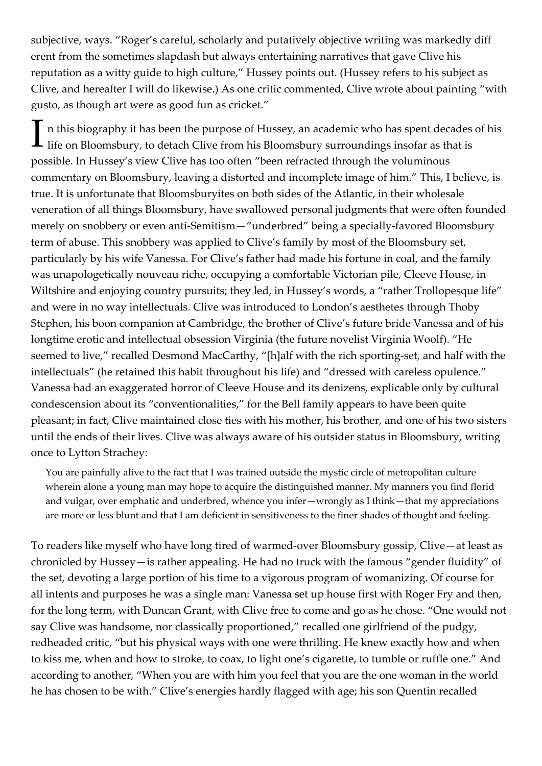subjective, ways. "Roger's careful, scholarly and putatively objective writing was markedly diff erent from the sometimes slapdash but always entertaining narratives that gave Clive his reputation as a witty guide to high culture," Hussey points out. (Hussey refers to his subject as Clive, and hereafter I will do likewise.) As one critic commented, Clive wrote about painting "with gusto, as though art were as good fun as cricket."

n this biography it has been the purpose of Hussey, an academic who has spent decades of his In this biography it has been the purpose of Hussey, an academic who has spent decades<br>life on Bloomsbury, to detach Clive from his Bloomsbury surroundings insofar as that is possible. In Hussey's view Clive has too often "been refracted through the voluminous commentary on Bloomsbury, leaving a distorted and incomplete image of him." This, I believe, is true. It is unfortunate that Bloomsburyites on both sides of the Atlantic, in their wholesale veneration of all things Bloomsbury, have swallowed personal judgments that were often founded merely on snobbery or even anti-Semitism—"underbred" being a specially-favored Bloomsbury term of abuse. This snobbery was applied to Clive's family by most of the Bloomsbury set, particularly by his wife Vanessa. For Clive's father had made his fortune in coal, and the family was unapologetically nouveau riche, occupying a comfortable Victorian pile, Cleeve House, in Wiltshire and enjoying country pursuits; they led, in Hussey's words, a "rather Trollopesque life" and were in no way intellectuals. Clive was introduced to London's aesthetes through Thoby Stephen, his boon companion at Cambridge, the brother of Clive's future bride Vanessa and of his longtime erotic and intellectual obsession Virginia (the future novelist Virginia Woolf). "He seemed to live," recalled Desmond MacCarthy, "[h]alf with the rich sporting-set, and half with the intellectuals" (he retained this habit throughout his life) and "dressed with careless opulence." Vanessa had an exaggerated horror of Cleeve House and its denizens, explicable only by cultural condescension about its "conventionalities," for the Bell family appears to have been quite pleasant; in fact, Clive maintained close ties with his mother, his brother, and one of his two sisters until the ends of their lives. Clive was always aware of his outsider status in Bloomsbury, writing once to Lytton Strachey:

You are painfully alive to the fact that I was trained outside the mystic circle of metropolitan culture wherein alone a young man may hope to acquire the distinguished manner. My manners you find florid and vulgar, over emphatic and underbred, whence you infer—wrongly as I think—that my appreciations are more or less blunt and that I am deficient in sensitiveness to the finer shades of thought and feeling.

To readers like myself who have long tired of warmed-over Bloomsbury gossip, Clive—at least as chronicled by Hussey—is rather appealing. He had no truck with the famous "gender fluidity" of the set, devoting a large portion of his time to a vigorous program of womanizing. Of course for all intents and purposes he was a single man: Vanessa set up house first with Roger Fry and then, for the long term, with Duncan Grant, with Clive free to come and go as he chose. "One would not say Clive was handsome, nor classically proportioned," recalled one girlfriend of the pudgy, redheaded critic, "but his physical ways with one were thrilling. He knew exactly how and when to kiss me, when and how to stroke, to coax, to light one's cigarette, to tumble or ruffle one." And according to another, "When you are with him you feel that you are the one woman in the world he has chosen to be with." Clive's energies hardly flagged with age; his son Quentin recalled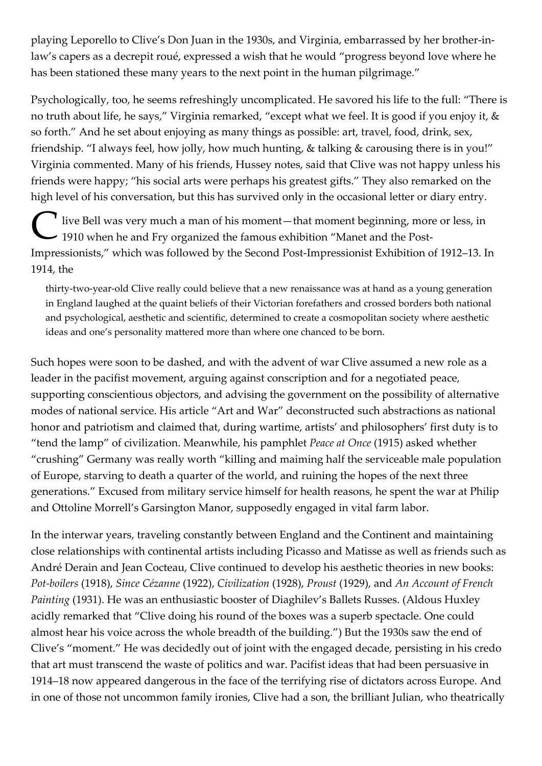playing Leporello to Clive's Don Juan in the 1930s, and Virginia, embarrassed by her brother-inlaw's capers as a decrepit roué, expressed a wish that he would "progress beyond love where he has been stationed these many years to the next point in the human pilgrimage."

Psychologically, too, he seems refreshingly uncomplicated. He savored his life to the full: "There is no truth about life, he says," Virginia remarked, "except what we feel. It is good if you enjoy it, & so forth." And he set about enjoying as many things as possible: art, travel, food, drink, sex, friendship. "I always feel, how jolly, how much hunting, & talking & carousing there is in you!" Virginia commented. Many of his friends, Hussey notes, said that Clive was not happy unless his friends were happy; "his social arts were perhaps his greatest gifts." They also remarked on the high level of his conversation, but this has survived only in the occasional letter or diary entry.

live Bell was very much a man of his moment—that moment beginning, more or less, in The Bell was very much a man of his moment—that moment beginning, more 1910 when he and Fry organized the famous exhibition "Manet and the Post-Impressionists," which was followed by the Second Post-Impressionist Exhibition of 1912–13. In 1914, the

thirty-two-year-old Clive really could believe that a new renaissance was at hand as a young generation in England laughed at the quaint beliefs of their Victorian forefathers and crossed borders both national and psychological, aesthetic and scientific, determined to create a cosmopolitan society where aesthetic ideas and one's personality mattered more than where one chanced to be born.

Such hopes were soon to be dashed, and with the advent of war Clive assumed a new role as a leader in the pacifist movement, arguing against conscription and for a negotiated peace, supporting conscientious objectors, and advising the government on the possibility of alternative modes of national service. His article "Art and War" deconstructed such abstractions as national honor and patriotism and claimed that, during wartime, artists' and philosophers' first duty is to "tend the lamp" of civilization. Meanwhile, his pamphlet *Peace at Once* (1915) asked whether "crushing" Germany was really worth "killing and maiming half the serviceable male population of Europe, starving to death a quarter of the world, and ruining the hopes of the next three generations." Excused from military service himself for health reasons, he spent the war at Philip and Ottoline Morrell's Garsington Manor, supposedly engaged in vital farm labor.

In the interwar years, traveling constantly between England and the Continent and maintaining close relationships with continental artists including Picasso and Matisse as well as friends such as André Derain and Jean Cocteau, Clive continued to develop his aesthetic theories in new books: *Pot-boilers* (1918), *Since Cézanne* (1922), *Civilization* (1928), *Proust* (1929), and *An Account of French Painting* (1931). He was an enthusiastic booster of Diaghilev's Ballets Russes. (Aldous Huxley acidly remarked that "Clive doing his round of the boxes was a superb spectacle. One could almost hear his voice across the whole breadth of the building.") But the 1930s saw the end of Clive's "moment." He was decidedly out of joint with the engaged decade, persisting in his credo that art must transcend the waste of politics and war. Pacifist ideas that had been persuasive in 1914–18 now appeared dangerous in the face of the terrifying rise of dictators across Europe. And in one of those not uncommon family ironies, Clive had a son, the brilliant Julian, who theatrically